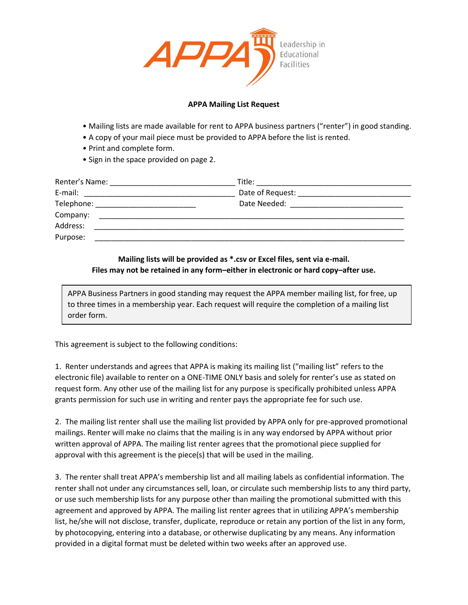

## **APPA Mailing List Request**

- Mailing lists are made available for rent to APPA business partners ("renter") in good standing.
- A copy of your mail piece must be provided to APPA before the list is rented.
- Print and complete form.
- Sign in the space provided on page 2.

| Renter's Name: | Title:                                                                                                                                                                                                                         |  |
|----------------|--------------------------------------------------------------------------------------------------------------------------------------------------------------------------------------------------------------------------------|--|
| E-mail:        |                                                                                                                                                                                                                                |  |
|                | Date Needed: The Contract of the Contract of the Contract of the Contract of the Contract of the Contract of the Contract of the Contract of the Contract of the Contract of the Contract of the Contract of the Contract of t |  |
| Company:       |                                                                                                                                                                                                                                |  |
| Address:       |                                                                                                                                                                                                                                |  |
| Purpose:       |                                                                                                                                                                                                                                |  |

## **Mailing lists will be provided as \*.csv or Excel files, sent via e-mail. Files may not be retained in any form–either in electronic or hard copy–after use.**

APPA Business Partners in good standing may request the APPA member mailing list, for free, up to three times in a membership year. Each request will require the completion of a mailing list order form.

This agreement is subject to the following conditions:

1. Renter understands and agrees that APPA is making its mailing list ("mailing list" refers to the electronic file) available to renter on a ONE-TIME ONLY basis and solely for renter's use as stated on request form. Any other use of the mailing list for any purpose is specifically prohibited unless APPA grants permission for such use in writing and renter pays the appropriate fee for such use.

2. The mailing list renter shall use the mailing list provided by APPA only for pre-approved promotional mailings. Renter will make no claims that the mailing is in any way endorsed by APPA without prior written approval of APPA. The mailing list renter agrees that the promotional piece supplied for approval with this agreement is the piece(s) that will be used in the mailing.

3. The renter shall treat APPA's membership list and all mailing labels as confidential information. The renter shall not under any circumstances sell, loan, or circulate such membership lists to any third party, or use such membership lists for any purpose other than mailing the promotional submitted with this agreement and approved by APPA. The mailing list renter agrees that in utilizing APPA's membership list, he/she will not disclose, transfer, duplicate, reproduce or retain any portion of the list in any form, by photocopying, entering into a database, or otherwise duplicating by any means. Any information provided in a digital format must be deleted within two weeks after an approved use.